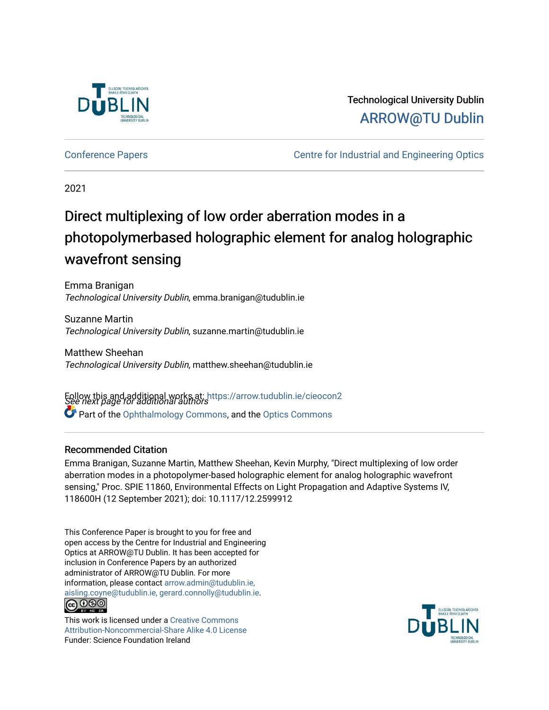

# Technological University Dublin [ARROW@TU Dublin](https://arrow.tudublin.ie/)

[Conference Papers](https://arrow.tudublin.ie/cieocon2) [Centre for Industrial and Engineering Optics](https://arrow.tudublin.ie/cieo) 

2021

# Direct multiplexing of low order aberration modes in a photopolymerbased holographic element for analog holographic wavefront sensing

Emma Branigan Technological University Dublin, emma.branigan@tudublin.ie

Suzanne Martin Technological University Dublin, suzanne.martin@tudublin.ie

Matthew Sheehan Technological University Dublin, matthew.sheehan@tudublin.ie

Follow this and additional works at: https://arrow.tudublin.ie/cieocon2<br>See next page for additional authors Part of the [Ophthalmology Commons](http://network.bepress.com/hgg/discipline/695?utm_source=arrow.tudublin.ie%2Fcieocon2%2F39&utm_medium=PDF&utm_campaign=PDFCoverPages), and the [Optics Commons](http://network.bepress.com/hgg/discipline/204?utm_source=arrow.tudublin.ie%2Fcieocon2%2F39&utm_medium=PDF&utm_campaign=PDFCoverPages) 

#### Recommended Citation

Emma Branigan, Suzanne Martin, Matthew Sheehan, Kevin Murphy, "Direct multiplexing of low order aberration modes in a photopolymer-based holographic element for analog holographic wavefront sensing," Proc. SPIE 11860, Environmental Effects on Light Propagation and Adaptive Systems IV, 118600H (12 September 2021); doi: 10.1117/12.2599912

This Conference Paper is brought to you for free and open access by the Centre for Industrial and Engineering Optics at ARROW@TU Dublin. It has been accepted for inclusion in Conference Papers by an authorized administrator of ARROW@TU Dublin. For more information, please contact [arrow.admin@tudublin.ie,](mailto:arrow.admin@tudublin.ie,%20aisling.coyne@tudublin.ie,%20gerard.connolly@tudublin.ie)  [aisling.coyne@tudublin.ie, gerard.connolly@tudublin.ie](mailto:arrow.admin@tudublin.ie,%20aisling.coyne@tudublin.ie,%20gerard.connolly@tudublin.ie). **@** 00

This work is licensed under a [Creative Commons](http://creativecommons.org/licenses/by-nc-sa/4.0/) [Attribution-Noncommercial-Share Alike 4.0 License](http://creativecommons.org/licenses/by-nc-sa/4.0/) Funder: Science Foundation Ireland

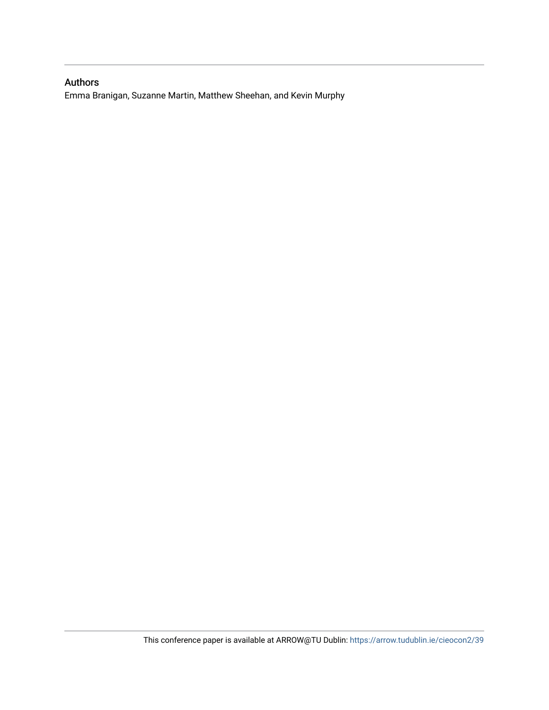### Authors

Emma Branigan, Suzanne Martin, Matthew Sheehan, and Kevin Murphy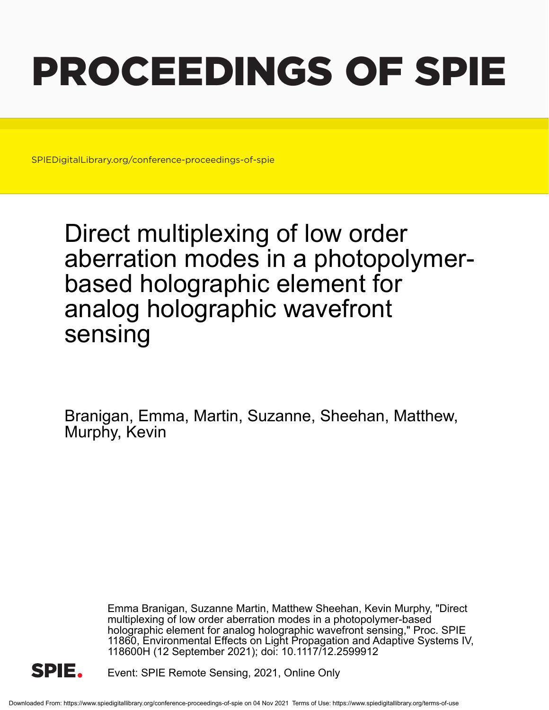# PROCEEDINGS OF SPIE

SPIEDigitalLibrary.org/conference-proceedings-of-spie

Direct multiplexing of low order aberration modes in a photopolymerbased holographic element for analog holographic wavefront sensing

Branigan, Emma, Martin, Suzanne, Sheehan, Matthew, Murphy, Kevin

> Emma Branigan, Suzanne Martin, Matthew Sheehan, Kevin Murphy, "Direct multiplexing of low order aberration modes in a photopolymer-based holographic element for analog holographic wavefront sensing," Proc. SPIE 11860, Environmental Effects on Light Propagation and Adaptive Systems IV, 118600H (12 September 2021); doi: 10.1117/12.2599912



Event: SPIE Remote Sensing, 2021, Online Only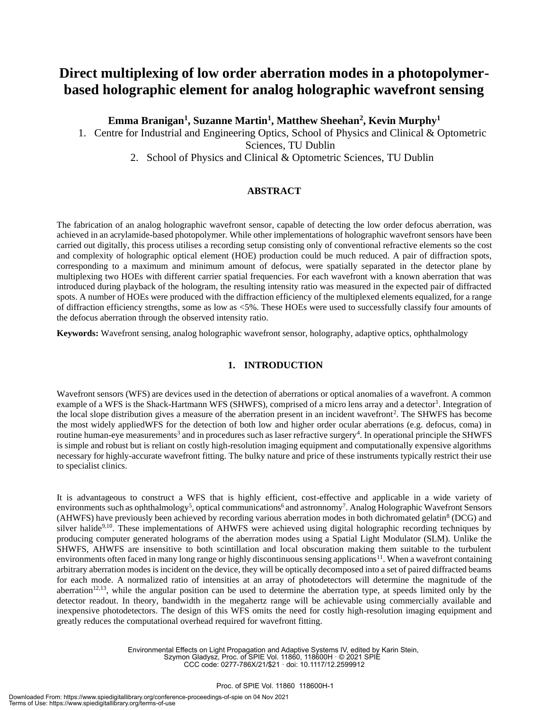## **Direct multiplexing of low order aberration modes in a photopolymerbased holographic element for analog holographic wavefront sensing**

**Emma Branigan<sup>1</sup> , Suzanne Martin<sup>1</sup> , Matthew Sheehan<sup>2</sup> , Kevin Murphy<sup>1</sup>**

1. Centre for Industrial and Engineering Optics, School of Physics and Clinical & Optometric Sciences, TU Dublin

2. School of Physics and Clinical & Optometric Sciences, TU Dublin

#### **ABSTRACT**

The fabrication of an analog holographic wavefront sensor, capable of detecting the low order defocus aberration, was achieved in an acrylamide-based photopolymer. While other implementations of holographic wavefront sensors have been carried out digitally, this process utilises a recording setup consisting only of conventional refractive elements so the cost and complexity of holographic optical element (HOE) production could be much reduced. A pair of diffraction spots, corresponding to a maximum and minimum amount of defocus, were spatially separated in the detector plane by multiplexing two HOEs with different carrier spatial frequencies. For each wavefront with a known aberration that was introduced during playback of the hologram, the resulting intensity ratio was measured in the expected pair of diffracted spots. A number of HOEs were produced with the diffraction efficiency of the multiplexed elements equalized, for a range of diffraction efficiency strengths, some as low as <5%. These HOEs were used to successfully classify four amounts of the defocus aberration through the observed intensity ratio.

**Keywords:** Wavefront sensing, analog holographic wavefront sensor, holography, adaptive optics, ophthalmology

#### **1. INTRODUCTION**

Wavefront sensors (WFS) are devices used in the detection of aberrations or optical anomalies of a wavefront. A common example of a WFS is the Shack-Hartmann WFS (SHWFS), comprised of a micro lens array and a detector<sup>1</sup>. Integration of the local slope distribution gives a measure of the aberration present in an incident wavefront<sup>2</sup>. The SHWFS has become the most widely appliedWFS for the detection of both low and higher order ocular aberrations (e.g. defocus, coma) in routine human-eye measurements<sup>3</sup> and in procedures such as laser refractive surgery<sup>4</sup>. In operational principle the SHWFS is simple and robust but is reliant on costly high-resolution imaging equipment and computationally expensive algorithms necessary for highly-accurate wavefront fitting. The bulky nature and price of these instruments typically restrict their use to specialist clinics.

It is advantageous to construct a WFS that is highly efficient, cost-effective and applicable in a wide variety of environments such as ophthalmology<sup>5</sup>, optical communications<sup>6</sup> and astronnomy<sup>7</sup>. Analog Holographic Wavefront Sensors (AHWFS) have previously been achieved by recording various aberration modes in both dichromated gelatin<sup>8</sup> (DCG) and silver halide<sup>9,10</sup>. These implementations of AHWFS were achieved using digital holographic recording techniques by producing computer generated holograms of the aberration modes using a Spatial Light Modulator (SLM). Unlike the SHWFS, AHWFS are insensitive to both scintillation and local obscuration making them suitable to the turbulent environments often faced in many long range or highly discontinuous sensing applications<sup>11</sup>. When a wavefront containing arbitrary aberration modes is incident on the device, they will be optically decomposed into a set of paired diffracted beams for each mode. A normalized ratio of intensities at an array of photodetectors will determine the magnitude of the aberration<sup>12,13</sup>, while the angular position can be used to determine the aberration type, at speeds limited only by the detector readout. In theory, bandwidth in the megahertz range will be achievable using commercially available and inexpensive photodetectors. The design of this WFS omits the need for costly high-resolution imaging equipment and greatly reduces the computational overhead required for wavefront fitting.

> Environmental Effects on Light Propagation and Adaptive Systems IV, edited by Karin Stein, Szymon Gladysz, Proc. of SPIE Vol. 11860, 118600H · © 2021 SPIE CCC code: 0277-786X/21/\$21 · doi: 10.1117/12.2599912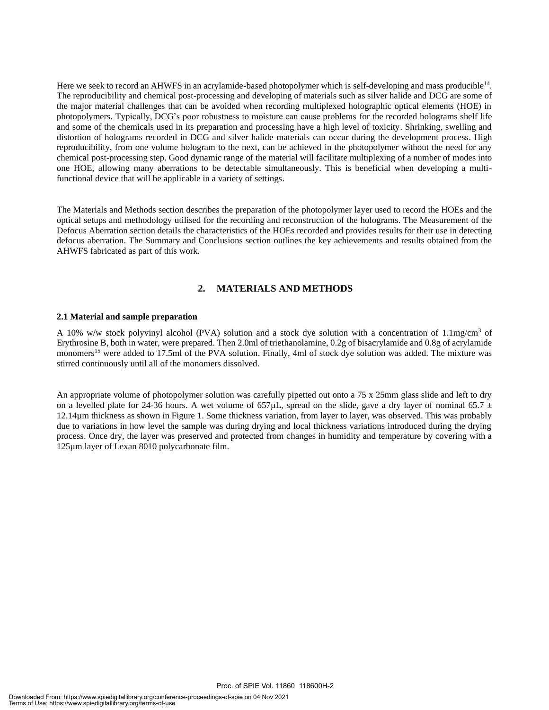Here we seek to record an AHWFS in an acrylamide-based photopolymer which is self-developing and mass producible<sup>14</sup>. The reproducibility and chemical post-processing and developing of materials such as silver halide and DCG are some of the major material challenges that can be avoided when recording multiplexed holographic optical elements (HOE) in photopolymers. Typically, DCG's poor robustness to moisture can cause problems for the recorded holograms shelf life and some of the chemicals used in its preparation and processing have a high level of toxicity. Shrinking, swelling and distortion of holograms recorded in DCG and silver halide materials can occur during the development process. High reproducibility, from one volume hologram to the next, can be achieved in the photopolymer without the need for any chemical post-processing step. Good dynamic range of the material will facilitate multiplexing of a number of modes into one HOE, allowing many aberrations to be detectable simultaneously. This is beneficial when developing a multifunctional device that will be applicable in a variety of settings.

The Materials and Methods section describes the preparation of the photopolymer layer used to record the HOEs and the optical setups and methodology utilised for the recording and reconstruction of the holograms. The Measurement of the Defocus Aberration section details the characteristics of the HOEs recorded and provides results for their use in detecting defocus aberration. The Summary and Conclusions section outlines the key achievements and results obtained from the AHWFS fabricated as part of this work.

#### **2. MATERIALS AND METHODS**

#### **2.1 Material and sample preparation**

A 10% w/w stock polyvinyl alcohol (PVA) solution and a stock dye solution with a concentration of 1.1mg/cm<sup>3</sup> of Erythrosine B, both in water, were prepared. Then 2.0ml of triethanolamine, 0.2g of bisacrylamide and 0.8g of acrylamide monomers<sup>15</sup> were added to 17.5ml of the PVA solution. Finally, 4ml of stock dye solution was added. The mixture was stirred continuously until all of the monomers dissolved.

An appropriate volume of photopolymer solution was carefully pipetted out onto a 75 x 25mm glass slide and left to dry on a levelled plate for 24-36 hours. A wet volume of  $657\mu$ , spread on the slide, gave a dry layer of nominal 65.7  $\pm$ 12.14µm thickness as shown in Figure 1. Some thickness variation, from layer to layer, was observed. This was probably due to variations in how level the sample was during drying and local thickness variations introduced during the drying process. Once dry, the layer was preserved and protected from changes in humidity and temperature by covering with a 125µm layer of Lexan 8010 polycarbonate film.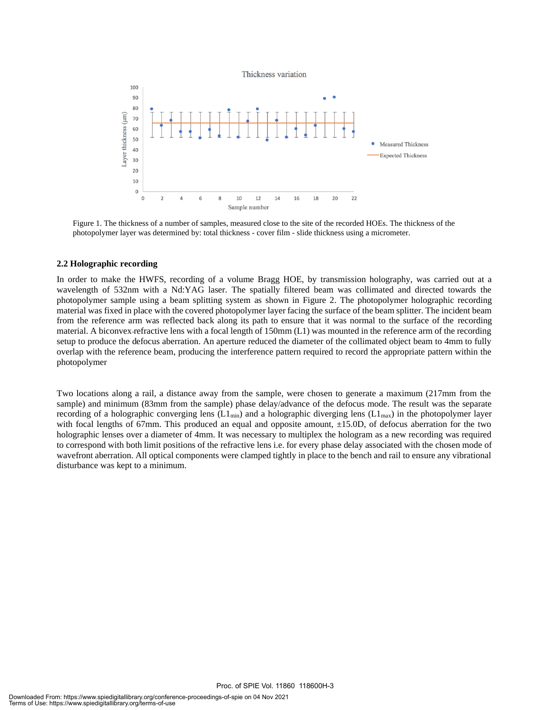Thickness variation



Figure 1. The thickness of a number of samples, measured close to the site of the recorded HOEs. The thickness of the photopolymer layer was determined by: total thickness - cover film - slide thickness using a micrometer.

#### **2.2 Holographic recording**

In order to make the HWFS, recording of a volume Bragg HOE, by transmission holography, was carried out at a wavelength of 532nm with a Nd:YAG laser. The spatially filtered beam was collimated and directed towards the photopolymer sample using a beam splitting system as shown in Figure 2. The photopolymer holographic recording material was fixed in place with the covered photopolymer layer facing the surface of the beam splitter. The incident beam from the reference arm was reflected back along its path to ensure that it was normal to the surface of the recording material. A biconvex refractive lens with a focal length of 150mm (L1) was mounted in the reference arm of the recording setup to produce the defocus aberration. An aperture reduced the diameter of the collimated object beam to 4mm to fully overlap with the reference beam, producing the interference pattern required to record the appropriate pattern within the photopolymer

Two locations along a rail, a distance away from the sample, were chosen to generate a maximum (217mm from the sample) and minimum (83mm from the sample) phase delay/advance of the defocus mode. The result was the separate recording of a holographic converging lens ( $L1_{min}$ ) and a holographic diverging lens ( $L1_{max}$ ) in the photopolymer layer with focal lengths of 67mm. This produced an equal and opposite amount,  $\pm 15.0$ D, of defocus aberration for the two holographic lenses over a diameter of 4mm. It was necessary to multiplex the hologram as a new recording was required to correspond with both limit positions of the refractive lens i.e. for every phase delay associated with the chosen mode of wavefront aberration. All optical components were clamped tightly in place to the bench and rail to ensure any vibrational disturbance was kept to a minimum.

Proc. of SPIE Vol. 11860 118600H-3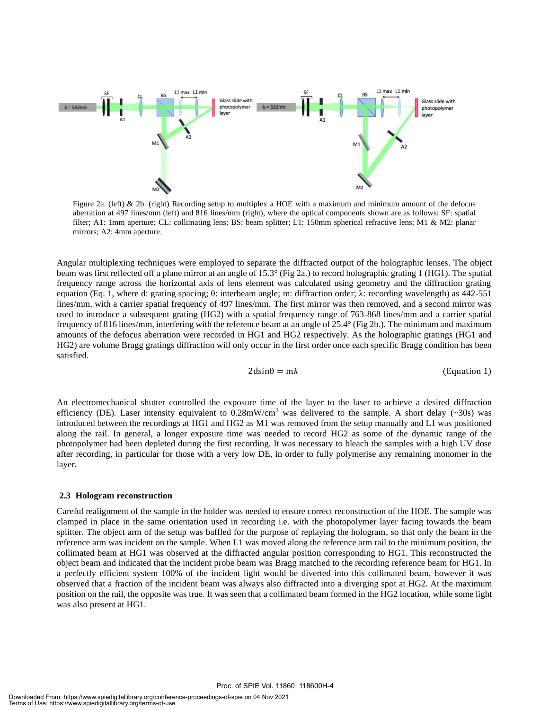

Figure 2a. (left) & 2b. (right) Recording setup to multiplex a HOE with a maximum and minimum amount of the defocus aberration at 497 lines/mm (left) and 816 lines/mm (right), where the optical components shown are as follows: SF: spatial filter; A1: 1mm aperture; CL: collimating lens; BS: beam splitter; L1: 150mm spherical refractive lens; M1 & M2: planar mirrors; A2: 4mm aperture.

Angular multiplexing techniques were employed to separate the diffracted output of the holographic lenses. The object beam was first reflected off a plane mirror at an angle of 15.3° (Fig 2a.) to record holographic grating 1 (HG1). The spatial frequency range across the horizontal axis of lens element was calculated using geometry and the diffraction grating equation (Eq. 1, where d: grating spacing; θ: interbeam angle; m: diffraction order; λ: recording wavelength) as 442-551 lines/mm, with a carrier spatial frequency of 497 lines/mm. The first mirror was then removed, and a second mirror was used to introduce a subsequent grating (HG2) with a spatial frequency range of 763-868 lines/mm and a carrier spatial frequency of 816 lines/mm, interfering with the reference beam at an angle of 25.4° (Fig 2b.). The minimum and maximum amounts of the defocus aberration were recorded in HG1 and HG2 respectively. As the holographic gratings (HG1 and HG2) are volume Bragg gratings diffraction will only occur in the first order once each specific Bragg condition has been satisfied.

$$
2\text{dsin}\theta = m\lambda \tag{Equation 1}
$$

An electromechanical shutter controlled the exposure time of the layer to the laser to achieve a desired diffraction efficiency (DE). Laser intensity equivalent to  $0.28$ mW/cm<sup>2</sup> was delivered to the sample. A short delay (~30s) was introduced between the recordings at HG1 and HG2 as M1 was removed from the setup manually and L1 was positioned along the rail. In general, a longer exposure time was needed to record HG2 as some of the dynamic range of the photopolymer had been depleted during the first recording. It was necessary to bleach the samples with a high UV dose after recording, in particular for those with a very low DE, in order to fully polymerise any remaining monomer in the layer.

#### **2.3 Hologram reconstruction**

Careful realignment of the sample in the holder was needed to ensure correct reconstruction of the HOE. The sample was clamped in place in the same orientation used in recording i.e. with the photopolymer layer facing towards the beam splitter. The object arm of the setup was baffled for the purpose of replaying the hologram, so that only the beam in the reference arm was incident on the sample. When L1 was moved along the reference arm rail to the minimum position, the collimated beam at HG1 was observed at the diffracted angular position corresponding to HG1. This reconstructed the object beam and indicated that the incident probe beam was Bragg matched to the recording reference beam for HG1. In a perfectly efficient system 100% of the incident light would be diverted into this collimated beam, however it was observed that a fraction of the incident beam was always also diffracted into a diverging spot at HG2. At the maximum position on the rail, the opposite was true. It was seen that a collimated beam formed in the HG2 location, while some light was also present at HG1.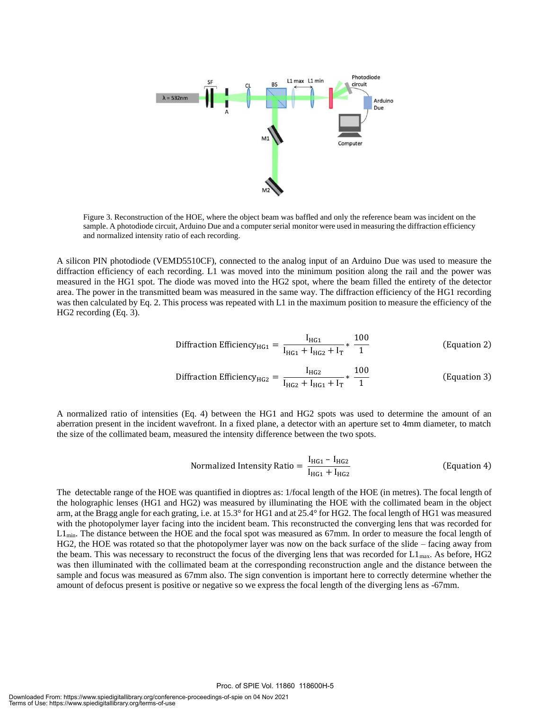

Figure 3. Reconstruction of the HOE, where the object beam was baffled and only the reference beam was incident on the sample. A photodiode circuit, Arduino Due and a computer serial monitor were used in measuring the diffraction efficiency and normalized intensity ratio of each recording.

A silicon PIN photodiode (VEMD5510CF), connected to the analog input of an Arduino Due was used to measure the diffraction efficiency of each recording. L1 was moved into the minimum position along the rail and the power was measured in the HG1 spot. The diode was moved into the HG2 spot, where the beam filled the entirety of the detector area. The power in the transmitted beam was measured in the same way. The diffraction efficiency of the HG1 recording was then calculated by Eq. 2. This process was repeated with L1 in the maximum position to measure the efficiency of the HG2 recording (Eq. 3).

$$
\text{Diffraction } \text{Efficiency}_{\text{HG1}} = \frac{I_{\text{HG1}}}{I_{\text{HG1}} + I_{\text{HG2}} + I_{\text{T}}} * \frac{100}{1} \tag{Equation 2}
$$

$$
\text{Diffraction Efficiency}_{HG2} = \frac{I_{HG2}}{I_{HG2} + I_{HG1} + I_T} * \frac{100}{1} \tag{Equation 3}
$$

A normalized ratio of intensities (Eq. 4) between the HG1 and HG2 spots was used to determine the amount of an aberration present in the incident wavefront. In a fixed plane, a detector with an aperture set to 4mm diameter, to match the size of the collimated beam, measured the intensity difference between the two spots.

Normalized Intensity Ratio = 
$$
\frac{I_{HG1} - I_{HG2}}{I_{HG1} + I_{HG2}}
$$
 (Equation 4)

The detectable range of the HOE was quantified in dioptres as: 1/focal length of the HOE (in metres). The focal length of the holographic lenses (HG1 and HG2) was measured by illuminating the HOE with the collimated beam in the object arm, at the Bragg angle for each grating, i.e. at 15.3° for HG1 and at 25.4° for HG2. The focal length of HG1 was measured with the photopolymer layer facing into the incident beam. This reconstructed the converging lens that was recorded for  $L1_{\text{min}}$ . The distance between the HOE and the focal spot was measured as 67mm. In order to measure the focal length of HG2, the HOE was rotated so that the photopolymer layer was now on the back surface of the slide – facing away from the beam. This was necessary to reconstruct the focus of the diverging lens that was recorded for  $L1_{\text{max}}$ . As before, HG2 was then illuminated with the collimated beam at the corresponding reconstruction angle and the distance between the sample and focus was measured as 67mm also. The sign convention is important here to correctly determine whether the amount of defocus present is positive or negative so we express the focal length of the diverging lens as -67mm.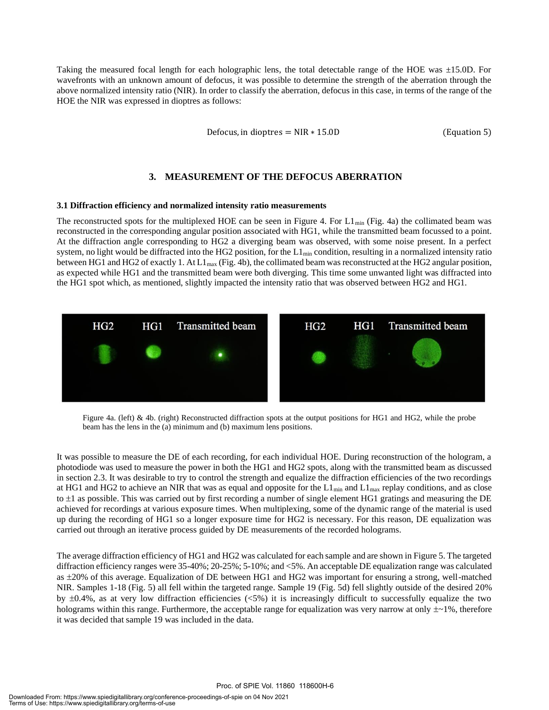Taking the measured focal length for each holographic lens, the total detectable range of the HOE was ±15.0D. For wavefronts with an unknown amount of defocus, it was possible to determine the strength of the aberration through the above normalized intensity ratio (NIR). In order to classify the aberration, defocus in this case, in terms of the range of the HOE the NIR was expressed in dioptres as follows:

Defocus, in dioptres =  $NIR * 15.0D$  (Equation 5)

#### **3. MEASUREMENT OF THE DEFOCUS ABERRATION**

#### **3.1 Diffraction efficiency and normalized intensity ratio measurements**

The reconstructed spots for the multiplexed HOE can be seen in Figure 4. For  $L1_{min}$  (Fig. 4a) the collimated beam was reconstructed in the corresponding angular position associated with HG1, while the transmitted beam focussed to a point. At the diffraction angle corresponding to HG2 a diverging beam was observed, with some noise present. In a perfect system, no light would be diffracted into the HG2 position, for the  $L1_{min}$  condition, resulting in a normalized intensity ratio between HG1 and HG2 of exactly 1. At  $L1_{\text{max}}$  (Fig. 4b), the collimated beam was reconstructed at the HG2 angular position, as expected while HG1 and the transmitted beam were both diverging. This time some unwanted light was diffracted into the HG1 spot which, as mentioned, slightly impacted the intensity ratio that was observed between HG2 and HG1.



Figure 4a. (left) & 4b. (right) Reconstructed diffraction spots at the output positions for HG1 and HG2, while the probe beam has the lens in the (a) minimum and (b) maximum lens positions.

It was possible to measure the DE of each recording, for each individual HOE. During reconstruction of the hologram, a photodiode was used to measure the power in both the HG1 and HG2 spots, along with the transmitted beam as discussed in section 2.3. It was desirable to try to control the strength and equalize the diffraction efficiencies of the two recordings at HG1 and HG2 to achieve an NIR that was as equal and opposite for the  $L1_{min}$  and  $L1_{max}$  replay conditions, and as close to  $\pm 1$  as possible. This was carried out by first recording a number of single element HG1 gratings and measuring the DE achieved for recordings at various exposure times. When multiplexing, some of the dynamic range of the material is used up during the recording of HG1 so a longer exposure time for HG2 is necessary. For this reason, DE equalization was carried out through an iterative process guided by DE measurements of the recorded holograms.

The average diffraction efficiency of HG1 and HG2 was calculated for each sample and are shown in Figure 5. The targeted diffraction efficiency ranges were 35-40%; 20-25%; 5-10%; and <5%. An acceptable DE equalization range was calculated as 20% of this average. Equalization of DE between HG1 and HG2 was important for ensuring a strong, well-matched NIR. Samples 1-18 (Fig. 5) all fell within the targeted range. Sample 19 (Fig. 5d) fell slightly outside of the desired 20% by  $\pm 0.4\%$ , as at very low diffraction efficiencies (<5%) it is increasingly difficult to successfully equalize the two holograms within this range. Furthermore, the acceptable range for equalization was very narrow at only  $\pm$ ~1%, therefore it was decided that sample 19 was included in the data.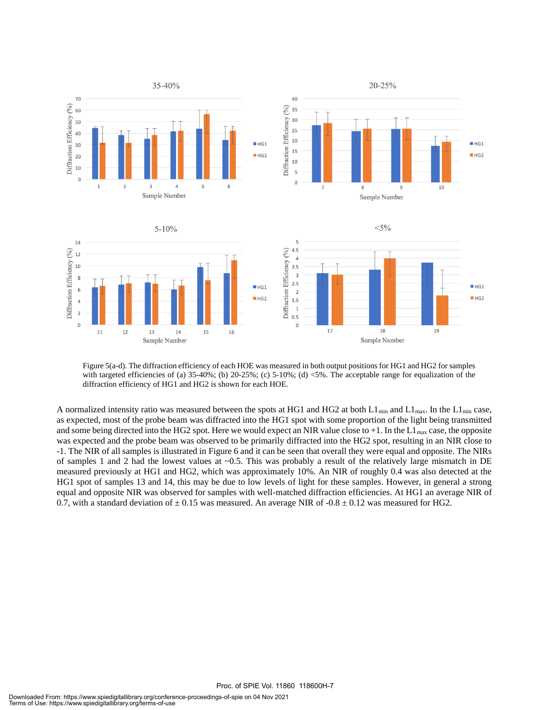

Figure 5(a-d). The diffraction efficiency of each HOE was measured in both output positions for HG1 and HG2 for samples with targeted efficiencies of (a)  $35-40\%$ ; (b)  $20-25\%$ ; (c)  $5-10\%$ ; (d)  $<5\%$ . The acceptable range for equalization of the diffraction efficiency of HG1 and HG2 is shown for each HOE.

A normalized intensity ratio was measured between the spots at HG1 and HG2 at both  $L1_{min}$  and  $L1_{max}$ . In the  $L1_{min}$  case, as expected, most of the probe beam was diffracted into the HG1 spot with some proportion of the light being transmitted and some being directed into the HG2 spot. Here we would expect an NIR value close to  $+1$ . In the L1<sub>max</sub> case, the opposite was expected and the probe beam was observed to be primarily diffracted into the HG2 spot, resulting in an NIR close to -1. The NIR of all samples is illustrated in Figure 6 and it can be seen that overall they were equal and opposite. The NIRs of samples 1 and 2 had the lowest values at ~0.5. This was probably a result of the relatively large mismatch in DE measured previously at HG1 and HG2, which was approximately 10%. An NIR of roughly 0.4 was also detected at the HG1 spot of samples 13 and 14, this may be due to low levels of light for these samples. However, in general a strong equal and opposite NIR was observed for samples with well-matched diffraction efficiencies. At HG1 an average NIR of 0.7, with a standard deviation of  $\pm$  0.15 was measured. An average NIR of -0.8  $\pm$  0.12 was measured for HG2.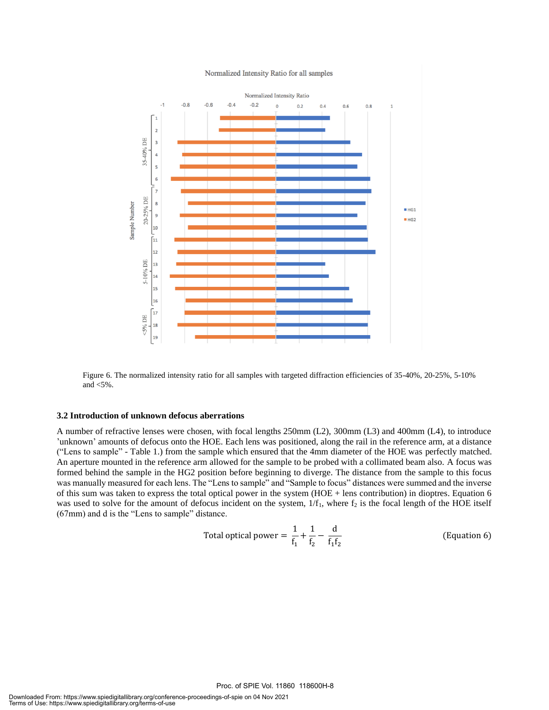

Figure 6. The normalized intensity ratio for all samples with targeted diffraction efficiencies of 35-40%, 20-25%, 5-10% and <5%.

#### **3.2 Introduction of unknown defocus aberrations**

A number of refractive lenses were chosen, with focal lengths 250mm (L2), 300mm (L3) and 400mm (L4), to introduce 'unknown' amounts of defocus onto the HOE. Each lens was positioned, along the rail in the reference arm, at a distance ("Lens to sample" - Table 1.) from the sample which ensured that the 4mm diameter of the HOE was perfectly matched. An aperture mounted in the reference arm allowed for the sample to be probed with a collimated beam also. A focus was formed behind the sample in the HG2 position before beginning to diverge. The distance from the sample to this focus was manually measured for each lens. The "Lens to sample" and "Sample to focus" distances were summed and the inverse of this sum was taken to express the total optical power in the system (HOE + lens contribution) in dioptres. Equation 6 was used to solve for the amount of defocus incident on the system,  $1/f_1$ , where  $f_2$  is the focal length of the HOE itself (67mm) and d is the "Lens to sample" distance.

Total optical power = 
$$
\frac{1}{f_1} + \frac{1}{f_2} - \frac{d}{f_1 f_2}
$$
 (Equation 6)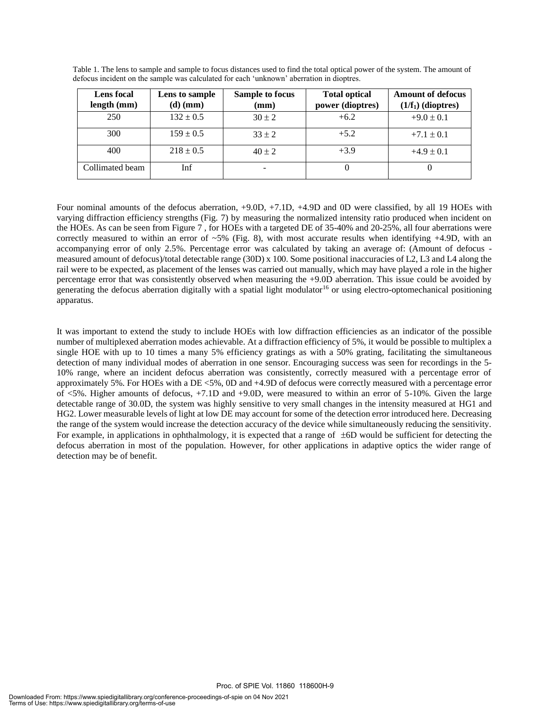| <b>Lens</b> focal | Lens to sample | Sample to focus | <b>Total optical</b> | <b>Amount of defocus</b> |
|-------------------|----------------|-----------------|----------------------|--------------------------|
| length (mm)       | $(d)$ (mm)     | (mm)            | power (dioptres)     | $(1/f_1)$ (dioptres)     |
| 250               | $132 \pm 0.5$  | $30 \pm 2$      | $+6.2$               | $+9.0 \pm 0.1$           |
| 300               | $159 \pm 0.5$  | $33 \pm 2$      | $+5.2$               | $+7.1 \pm 0.1$           |
| 400               | $218 \pm 0.5$  | $40 \pm 2$      | $+3.9$               | $+4.9 \pm 0.1$           |
| Collimated beam   | Inf            |                 |                      |                          |

Table 1. The lens to sample and sample to focus distances used to find the total optical power of the system. The amount of defocus incident on the sample was calculated for each 'unknown' aberration in dioptres.

Four nominal amounts of the defocus aberration, +9.0D, +7.1D, +4.9D and 0D were classified, by all 19 HOEs with varying diffraction efficiency strengths (Fig. 7) by measuring the normalized intensity ratio produced when incident on the HOEs. As can be seen from Figure 7 , for HOEs with a targeted DE of 35-40% and 20-25%, all four aberrations were correctly measured to within an error of  $~5\%$  (Fig. 8), with most accurate results when identifying  $+4.9D$ , with an accompanying error of only 2.5%. Percentage error was calculated by taking an average of: (Amount of defocus measured amount of defocus)/total detectable range (30D) x 100. Some positional inaccuracies of L2, L3 and L4 along the rail were to be expected, as placement of the lenses was carried out manually, which may have played a role in the higher percentage error that was consistently observed when measuring the +9.0D aberration. This issue could be avoided by generating the defocus aberration digitally with a spatial light modulator<sup>16</sup> or using electro-optomechanical positioning apparatus.

It was important to extend the study to include HOEs with low diffraction efficiencies as an indicator of the possible number of multiplexed aberration modes achievable. At a diffraction efficiency of 5%, it would be possible to multiplex a single HOE with up to 10 times a many 5% efficiency gratings as with a 50% grating, facilitating the simultaneous detection of many individual modes of aberration in one sensor. Encouraging success was seen for recordings in the 5- 10% range, where an incident defocus aberration was consistently, correctly measured with a percentage error of approximately 5%. For HOEs with a DE <5%, 0D and +4.9D of defocus were correctly measured with a percentage error of <5%. Higher amounts of defocus, +7.1D and +9.0D, were measured to within an error of 5-10%. Given the large detectable range of 30.0D, the system was highly sensitive to very small changes in the intensity measured at HG1 and HG2. Lower measurable levels of light at low DE may account for some of the detection error introduced here. Decreasing the range of the system would increase the detection accuracy of the device while simultaneously reducing the sensitivity. For example, in applications in ophthalmology, it is expected that a range of  $\pm$ 6D would be sufficient for detecting the defocus aberration in most of the population. However, for other applications in adaptive optics the wider range of detection may be of benefit.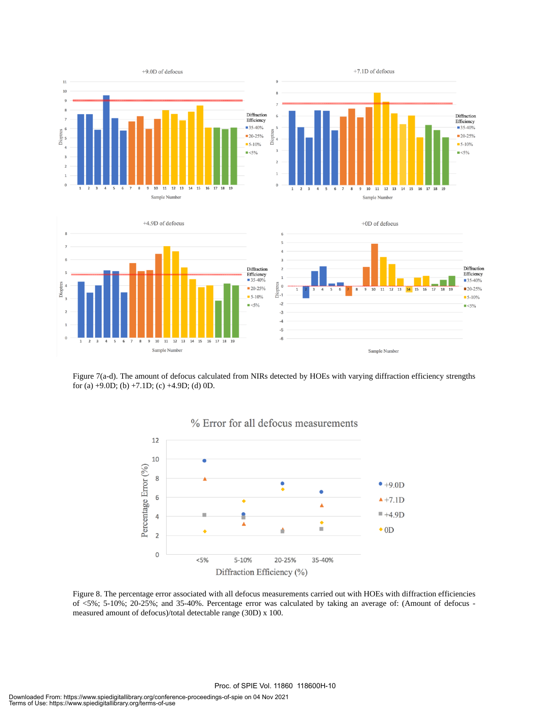

Figure 7(a-d). The amount of defocus calculated from NIRs detected by HOEs with varying diffraction efficiency strengths for (a)  $+9.0D$ ; (b)  $+7.1D$ ; (c)  $+4.9D$ ; (d) 0D.





Figure 8. The percentage error associated with all defocus measurements carried out with HOEs with diffraction efficiencies of <5%; 5-10%; 20-25%; and 35-40%. Percentage error was calculated by taking an average of: (Amount of defocus measured amount of defocus)/total detectable range (30D) x 100.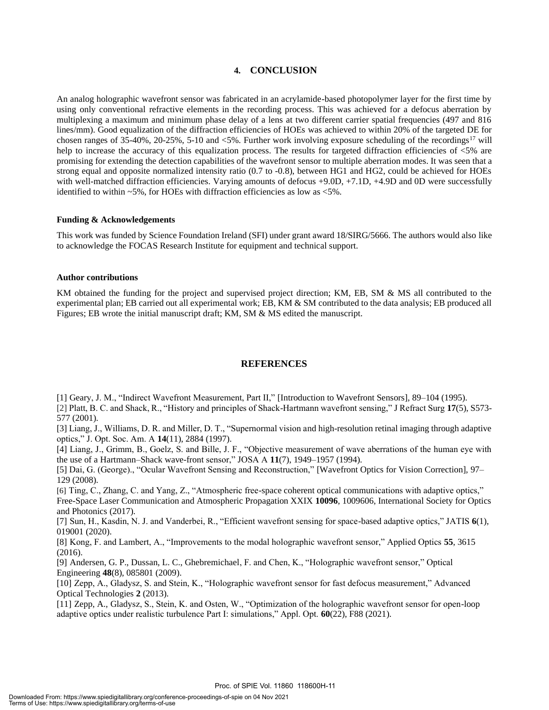#### **4. CONCLUSION**

An analog holographic wavefront sensor was fabricated in an acrylamide-based photopolymer layer for the first time by using only conventional refractive elements in the recording process. This was achieved for a defocus aberration by multiplexing a maximum and minimum phase delay of a lens at two different carrier spatial frequencies (497 and 816 lines/mm). Good equalization of the diffraction efficiencies of HOEs was achieved to within 20% of the targeted DE for chosen ranges of 35-40%, 20-25%, 5-10 and  $\lt 5\%$ . Further work involving exposure scheduling of the recordings<sup>17</sup> will help to increase the accuracy of this equalization process. The results for targeted diffraction efficiencies of  $<5\%$  are promising for extending the detection capabilities of the wavefront sensor to multiple aberration modes. It was seen that a strong equal and opposite normalized intensity ratio (0.7 to -0.8), between HG1 and HG2, could be achieved for HOEs with well-matched diffraction efficiencies. Varying amounts of defocus +9.0D, +7.1D, +4.9D and 0D were successfully identified to within ~5%, for HOEs with diffraction efficiencies as low as <5%.

#### **Funding & Acknowledgements**

This work was funded by Science Foundation Ireland (SFI) under grant award 18/SIRG/5666. The authors would also like to acknowledge the FOCAS Research Institute for equipment and technical support.

#### **Author contributions**

KM obtained the funding for the project and supervised project direction; KM, EB, SM & MS all contributed to the experimental plan; EB carried out all experimental work; EB, KM & SM contributed to the data analysis; EB produced all Figures; EB wrote the initial manuscript draft; KM, SM & MS edited the manuscript.

#### **REFERENCES**

[1] Geary, J. M., "Indirect Wavefront Measurement, Part II," [Introduction to Wavefront Sensors], 89–104 (1995).

[2] Platt, B. C. and Shack, R., "History and principles of Shack-Hartmann wavefront sensing," J Refract Surg **17**(5), S573- 577 (2001).

[3] Liang, J., Williams, D. R. and Miller, D. T., "Supernormal vision and high-resolution retinal imaging through adaptive optics," J. Opt. Soc. Am. A **14**(11), 2884 (1997).

[4] Liang, J., Grimm, B., Goelz, S. and Bille, J. F., "Objective measurement of wave aberrations of the human eye with the use of a Hartmann–Shack wave-front sensor," JOSA A **11**(7), 1949–1957 (1994).

[5] Dai, G. (George)., "Ocular Wavefront Sensing and Reconstruction," [Wavefront Optics for Vision Correction], 97– 129 (2008).

[6] Ting, C., Zhang, C. and Yang, Z., "Atmospheric free-space coherent optical communications with adaptive optics," Free-Space Laser Communication and Atmospheric Propagation XXIX **10096**, 1009606, International Society for Optics and Photonics (2017).

[7] Sun, H., Kasdin, N. J. and Vanderbei, R., "Efficient wavefront sensing for space-based adaptive optics," JATIS **6**(1), 019001 (2020).

[8] Kong, F. and Lambert, A., "Improvements to the modal holographic wavefront sensor," Applied Optics **55**, 3615 (2016).

[9] Andersen, G. P., Dussan, L. C., Ghebremichael, F. and Chen, K., "Holographic wavefront sensor," Optical Engineering **48**(8), 085801 (2009).

[10] Zepp, A., Gladysz, S. and Stein, K., "Holographic wavefront sensor for fast defocus measurement," Advanced Optical Technologies **2** (2013).

[11] Zepp, A., Gladysz, S., Stein, K. and Osten, W., "Optimization of the holographic wavefront sensor for open-loop adaptive optics under realistic turbulence Part I: simulations," Appl. Opt. **60**(22), F88 (2021).